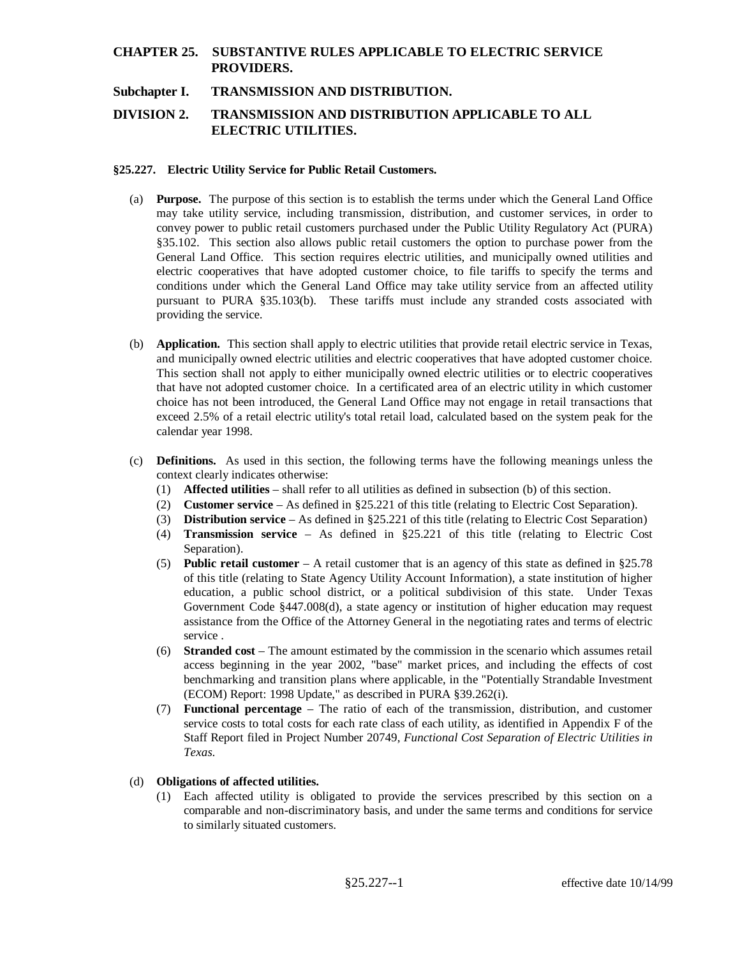## **CHAPTER 25. SUBSTANTIVE RULES APPLICABLE TO ELECTRIC SERVICE PROVIDERS.**

## **Subchapter I. TRANSMISSION AND DISTRIBUTION.**

# **DIVISION 2. TRANSMISSION AND DISTRIBUTION APPLICABLE TO ALL ELECTRIC UTILITIES.**

### **§25.227. Electric Utility Service for Public Retail Customers.**

- (a) **Purpose.** The purpose of this section is to establish the terms under which the General Land Office may take utility service, including transmission, distribution, and customer services, in order to convey power to public retail customers purchased under the Public Utility Regulatory Act (PURA) §35.102. This section also allows public retail customers the option to purchase power from the General Land Office. This section requires electric utilities, and municipally owned utilities and electric cooperatives that have adopted customer choice, to file tariffs to specify the terms and conditions under which the General Land Office may take utility service from an affected utility pursuant to PURA §35.103(b). These tariffs must include any stranded costs associated with providing the service.
- (b) **Application.** This section shall apply to electric utilities that provide retail electric service in Texas, and municipally owned electric utilities and electric cooperatives that have adopted customer choice. This section shall not apply to either municipally owned electric utilities or to electric cooperatives that have not adopted customer choice. In a certificated area of an electric utility in which customer choice has not been introduced, the General Land Office may not engage in retail transactions that exceed 2.5% of a retail electric utility's total retail load, calculated based on the system peak for the calendar year 1998.
- (c) **Definitions.** As used in this section, the following terms have the following meanings unless the context clearly indicates otherwise:
	- (1) **Affected utilities** shall refer to all utilities as defined in subsection (b) of this section.
	- (2) **Customer service** As defined in §25.221 of this title (relating to Electric Cost Separation).
	- (3) **Distribution service** As defined in §25.221 of this title (relating to Electric Cost Separation)
	- (4) **Transmission service** As defined in §25.221 of this title (relating to Electric Cost Separation).
	- (5) **Public retail customer** A retail customer that is an agency of this state as defined in §25.78 of this title (relating to State Agency Utility Account Information), a state institution of higher education, a public school district, or a political subdivision of this state. Under Texas Government Code §447.008(d), a state agency or institution of higher education may request assistance from the Office of the Attorney General in the negotiating rates and terms of electric service .
	- (6) **Stranded cost** The amount estimated by the commission in the scenario which assumes retail access beginning in the year 2002, "base" market prices, and including the effects of cost benchmarking and transition plans where applicable, in the "Potentially Strandable Investment (ECOM) Report: 1998 Update," as described in PURA §39.262(i).
	- (7) **Functional percentage** The ratio of each of the transmission, distribution, and customer service costs to total costs for each rate class of each utility, as identified in Appendix F of the Staff Report filed in Project Number 20749, *Functional Cost Separation of Electric Utilities in Texas*.

### (d) **Obligations of affected utilities.**

(1) Each affected utility is obligated to provide the services prescribed by this section on a comparable and non-discriminatory basis, and under the same terms and conditions for service to similarly situated customers.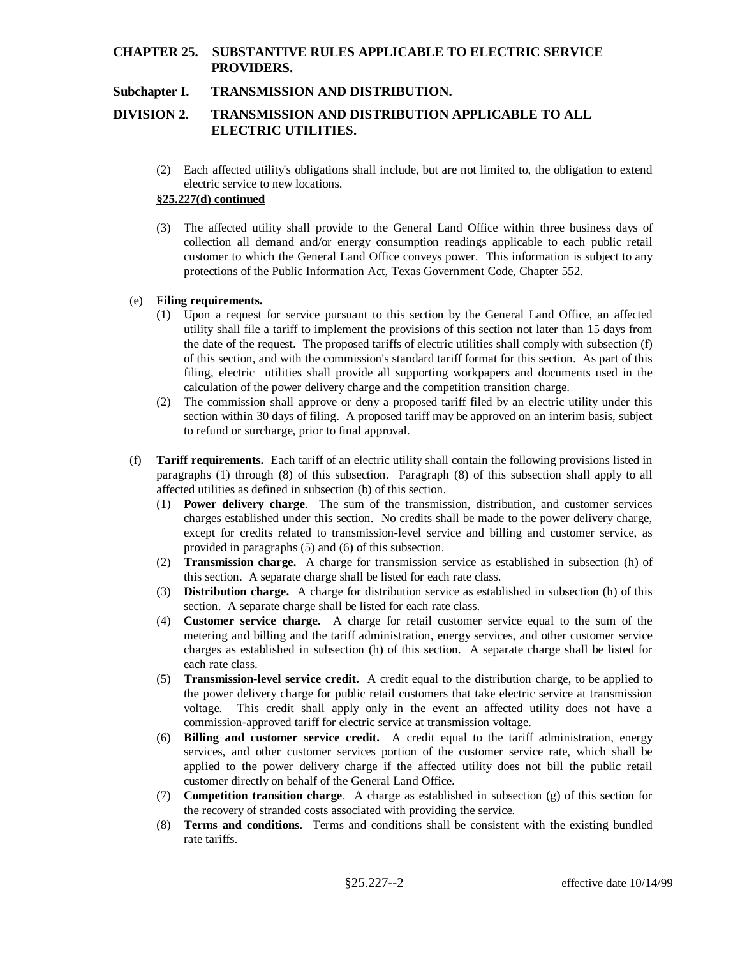# **CHAPTER 25. SUBSTANTIVE RULES APPLICABLE TO ELECTRIC SERVICE PROVIDERS.**

## **Subchapter I. TRANSMISSION AND DISTRIBUTION.**

# **DIVISION 2. TRANSMISSION AND DISTRIBUTION APPLICABLE TO ALL ELECTRIC UTILITIES.**

(2) Each affected utility's obligations shall include, but are not limited to, the obligation to extend electric service to new locations.

### **§25.227(d) continued**

(3) The affected utility shall provide to the General Land Office within three business days of collection all demand and/or energy consumption readings applicable to each public retail customer to which the General Land Office conveys power. This information is subject to any protections of the Public Information Act, Texas Government Code, Chapter 552.

### (e) **Filing requirements.**

- (1) Upon a request for service pursuant to this section by the General Land Office, an affected utility shall file a tariff to implement the provisions of this section not later than 15 days from the date of the request. The proposed tariffs of electric utilities shall comply with subsection (f) of this section, and with the commission's standard tariff format for this section. As part of this filing, electric utilities shall provide all supporting workpapers and documents used in the calculation of the power delivery charge and the competition transition charge.
- (2) The commission shall approve or deny a proposed tariff filed by an electric utility under this section within 30 days of filing. A proposed tariff may be approved on an interim basis, subject to refund or surcharge, prior to final approval.
- (f) **Tariff requirements.** Each tariff of an electric utility shall contain the following provisions listed in paragraphs (1) through (8) of this subsection. Paragraph (8) of this subsection shall apply to all affected utilities as defined in subsection (b) of this section.
	- (1) **Power delivery charge**. The sum of the transmission, distribution, and customer services charges established under this section. No credits shall be made to the power delivery charge, except for credits related to transmission-level service and billing and customer service, as provided in paragraphs (5) and (6) of this subsection.
	- (2) **Transmission charge.** A charge for transmission service as established in subsection (h) of this section. A separate charge shall be listed for each rate class.
	- (3) **Distribution charge.** A charge for distribution service as established in subsection (h) of this section. A separate charge shall be listed for each rate class.
	- (4) **Customer service charge.** A charge for retail customer service equal to the sum of the metering and billing and the tariff administration, energy services, and other customer service charges as established in subsection (h) of this section. A separate charge shall be listed for each rate class.
	- (5) **Transmission-level service credit.** A credit equal to the distribution charge, to be applied to the power delivery charge for public retail customers that take electric service at transmission voltage. This credit shall apply only in the event an affected utility does not have a commission-approved tariff for electric service at transmission voltage.
	- (6) **Billing and customer service credit.** A credit equal to the tariff administration, energy services, and other customer services portion of the customer service rate, which shall be applied to the power delivery charge if the affected utility does not bill the public retail customer directly on behalf of the General Land Office.
	- (7) **Competition transition charge**. A charge as established in subsection (g) of this section for the recovery of stranded costs associated with providing the service.
	- (8) **Terms and conditions**. Terms and conditions shall be consistent with the existing bundled rate tariffs.